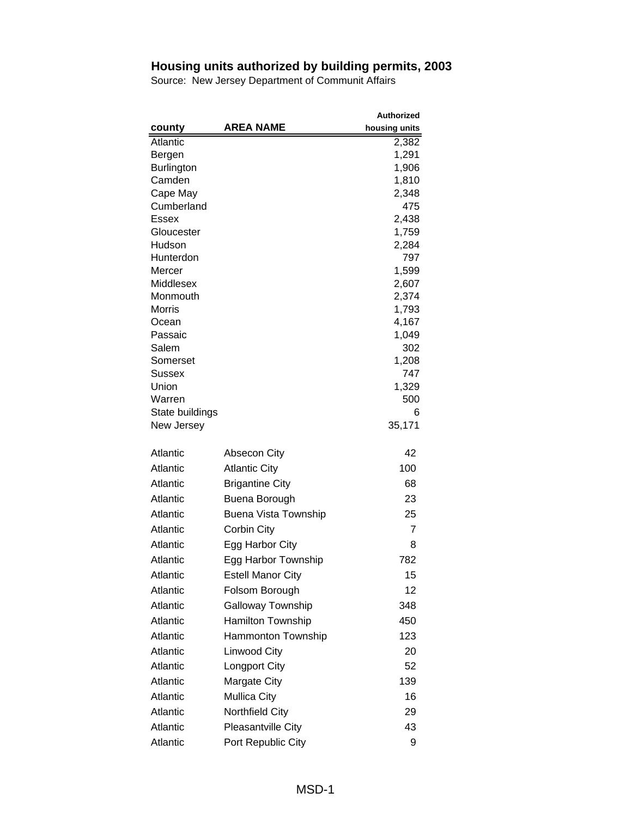|                            |                             | <b>Authorized</b> |
|----------------------------|-----------------------------|-------------------|
| county                     | <b>AREA NAME</b>            | housing units     |
| <b>Atlantic</b>            |                             | 2,382             |
| Bergen                     |                             | 1,291             |
| <b>Burlington</b>          |                             | 1,906             |
| Camden                     |                             | 1,810             |
| Cape May                   |                             | 2,348             |
| Cumberland<br><b>Essex</b> |                             | 475<br>2,438      |
| Gloucester                 |                             | 1,759             |
| Hudson                     |                             | 2,284             |
| Hunterdon                  |                             | 797               |
| Mercer                     |                             | 1,599             |
| Middlesex                  |                             | 2,607             |
| Monmouth                   |                             | 2,374             |
| Morris                     |                             | 1,793             |
| Ocean                      |                             | 4,167             |
| Passaic                    |                             | 1,049             |
| Salem                      |                             | 302               |
| Somerset<br>Sussex         |                             | 1,208<br>747      |
| Union                      |                             | 1,329             |
| Warren                     |                             | 500               |
| State buildings            |                             | 6                 |
| New Jersey                 |                             | 35,171            |
| Atlantic                   | <b>Absecon City</b>         | 42                |
| Atlantic                   | <b>Atlantic City</b>        | 100               |
| Atlantic                   | <b>Brigantine City</b>      | 68                |
| Atlantic                   | Buena Borough               | 23                |
| Atlantic                   | <b>Buena Vista Township</b> | 25                |
| Atlantic                   | Corbin City                 | $\overline{7}$    |
| Atlantic                   | Egg Harbor City             | 8                 |
| Atlantic                   | Egg Harbor Township         | 782               |
| Atlantic                   | <b>Estell Manor City</b>    | 15                |
| Atlantic                   | Folsom Borough              | 12                |
| Atlantic                   | Galloway Township           | 348               |
| Atlantic                   | Hamilton Township           | 450               |
| Atlantic                   | Hammonton Township          | 123               |
| Atlantic                   | Linwood City                | 20                |
| Atlantic                   | Longport City               | 52                |
| Atlantic                   | <b>Margate City</b>         | 139               |
| Atlantic                   | <b>Mullica City</b>         | 16                |
| Atlantic                   | Northfield City             | 29                |
| Atlantic                   | Pleasantville City          | 43                |
| Atlantic                   | Port Republic City          | 9                 |
|                            |                             |                   |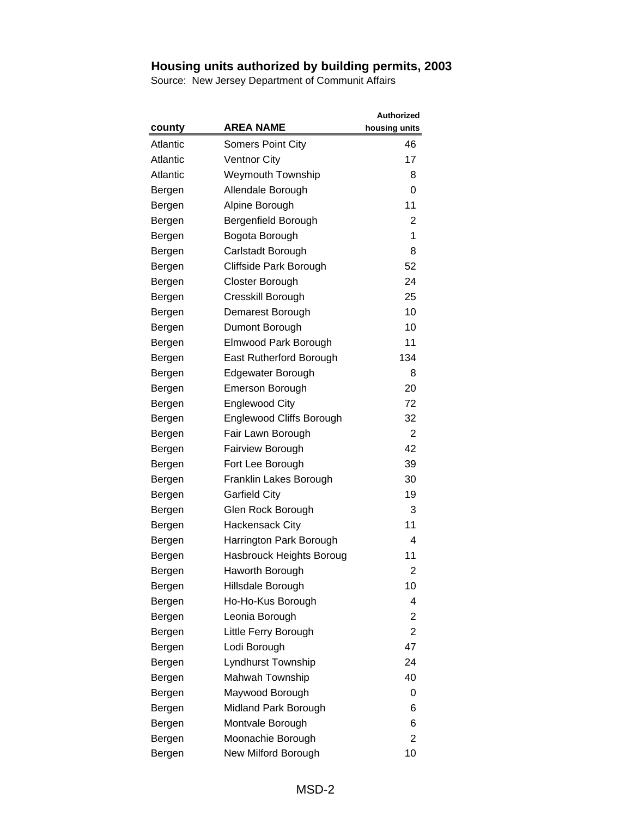|          |                                 | <b>Authorized</b>       |
|----------|---------------------------------|-------------------------|
| county   | <b>AREA NAME</b>                | housing units           |
| Atlantic | Somers Point City               | 46                      |
| Atlantic | <b>Ventnor City</b>             | 17                      |
| Atlantic | <b>Weymouth Township</b>        | 8                       |
| Bergen   | Allendale Borough               | 0                       |
| Bergen   | Alpine Borough                  | 11                      |
| Bergen   | Bergenfield Borough             | 2                       |
| Bergen   | Bogota Borough                  | 1                       |
| Bergen   | Carlstadt Borough               | 8                       |
| Bergen   | Cliffside Park Borough          | 52                      |
| Bergen   | Closter Borough                 | 24                      |
| Bergen   | Cresskill Borough               | 25                      |
| Bergen   | Demarest Borough                | 10                      |
| Bergen   | Dumont Borough                  | 10                      |
| Bergen   | Elmwood Park Borough            | 11                      |
| Bergen   | East Rutherford Borough         | 134                     |
| Bergen   | Edgewater Borough               | 8                       |
| Bergen   | <b>Emerson Borough</b>          | 20                      |
| Bergen   | <b>Englewood City</b>           | 72                      |
| Bergen   | <b>Englewood Cliffs Borough</b> | 32                      |
| Bergen   | Fair Lawn Borough               | $\overline{2}$          |
| Bergen   | Fairview Borough                | 42                      |
| Bergen   | Fort Lee Borough                | 39                      |
| Bergen   | Franklin Lakes Borough          | 30                      |
| Bergen   | <b>Garfield City</b>            | 19                      |
| Bergen   | Glen Rock Borough               | 3                       |
| Bergen   | <b>Hackensack City</b>          | 11                      |
| Bergen   | Harrington Park Borough         | 4                       |
| Bergen   | Hasbrouck Heights Boroug        | 11                      |
| Bergen   | Haworth Borough                 | $\overline{\mathbf{c}}$ |
| Bergen   | Hillsdale Borough               | 10                      |
| Bergen   | Ho-Ho-Kus Borough               | 4                       |
| Bergen   | Leonia Borough                  | $\overline{2}$          |
| Bergen   | Little Ferry Borough            | 2                       |
| Bergen   | Lodi Borough                    | 47                      |
| Bergen   | Lyndhurst Township              | 24                      |
| Bergen   | Mahwah Township                 | 40                      |
| Bergen   | Maywood Borough                 | 0                       |
| Bergen   | Midland Park Borough            | 6                       |
| Bergen   | Montvale Borough                | 6                       |
| Bergen   | Moonachie Borough               | $\overline{2}$          |
| Bergen   | New Milford Borough             | 10                      |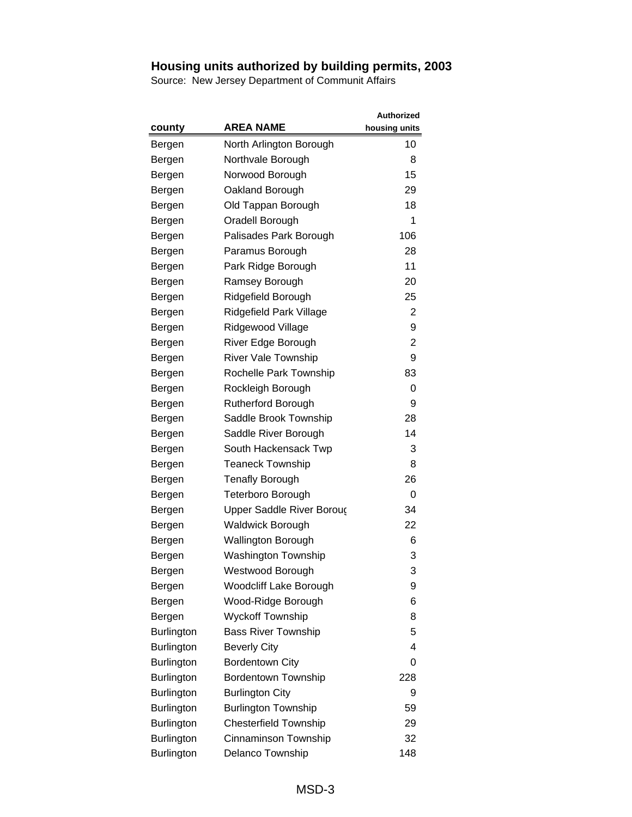| county            | <b>AREA NAME</b>           | <b>Authorized</b><br>housing units |
|-------------------|----------------------------|------------------------------------|
| Bergen            | North Arlington Borough    | 10                                 |
| Bergen            | Northvale Borough          | 8                                  |
| Bergen            | Norwood Borough            | 15                                 |
| Bergen            | Oakland Borough            | 29                                 |
| Bergen            | Old Tappan Borough         | 18                                 |
| Bergen            | Oradell Borough            | 1                                  |
| Bergen            | Palisades Park Borough     | 106                                |
| Bergen            | Paramus Borough            | 28                                 |
| Bergen            | Park Ridge Borough         | 11                                 |
| Bergen            | Ramsey Borough             | 20                                 |
| Bergen            | Ridgefield Borough         | 25                                 |
| Bergen            | Ridgefield Park Village    | 2                                  |
| Bergen            | Ridgewood Village          | 9                                  |
| Bergen            | River Edge Borough         | 2                                  |
| Bergen            | <b>River Vale Township</b> | 9                                  |
| Bergen            | Rochelle Park Township     | 83                                 |
| Bergen            | Rockleigh Borough          | 0                                  |
| Bergen            | Rutherford Borough         | 9                                  |
| Bergen            | Saddle Brook Township      | 28                                 |
| Bergen            | Saddle River Borough       | 14                                 |
| Bergen            | South Hackensack Twp       | 3                                  |
| Bergen            | <b>Teaneck Township</b>    | 8                                  |
| Bergen            | <b>Tenafly Borough</b>     | 26                                 |
| Bergen            | <b>Teterboro Borough</b>   | 0                                  |
| Bergen            | Upper Saddle River Borouç  | 34                                 |
| Bergen            | <b>Waldwick Borough</b>    | 22                                 |
| Bergen            | <b>Wallington Borough</b>  | 6                                  |
| Bergen            | <b>Washington Township</b> | 3                                  |
| Bergen            | Westwood Borough           | 3                                  |
| Bergen            | Woodcliff Lake Borough     | 9                                  |
| Bergen            | Wood-Ridge Borough         | 6                                  |
| Bergen            | <b>Wyckoff Township</b>    | 8                                  |
| <b>Burlington</b> | <b>Bass River Township</b> | 5                                  |
| <b>Burlington</b> | <b>Beverly City</b>        | 4                                  |
| <b>Burlington</b> | <b>Bordentown City</b>     | 0                                  |
| <b>Burlington</b> | <b>Bordentown Township</b> | 228                                |
| <b>Burlington</b> | <b>Burlington City</b>     | 9                                  |
| <b>Burlington</b> | <b>Burlington Township</b> | 59                                 |
| <b>Burlington</b> | Chesterfield Township      | 29                                 |
| <b>Burlington</b> | Cinnaminson Township       | 32                                 |
| <b>Burlington</b> | Delanco Township           | 148                                |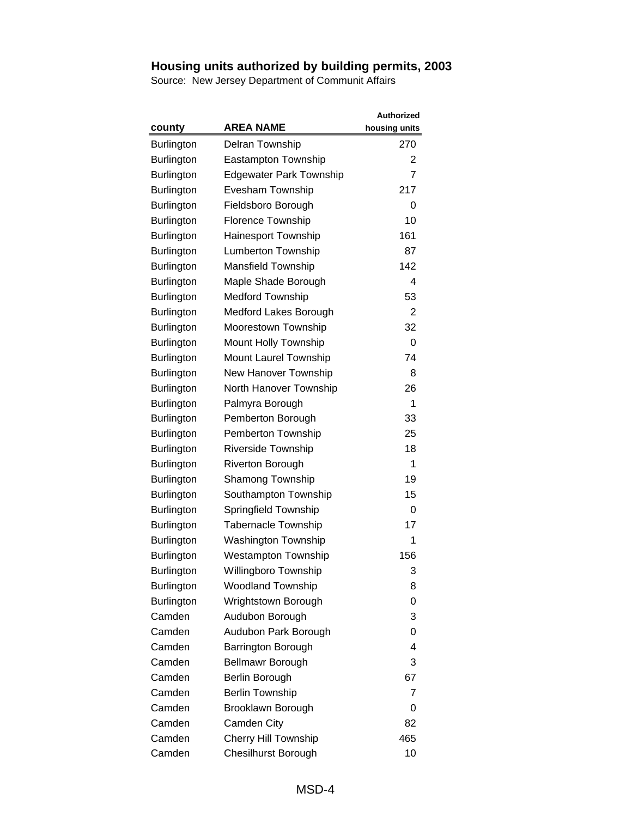| county            | <b>AREA NAME</b>               | <b>Authorized</b><br>housing units |
|-------------------|--------------------------------|------------------------------------|
| <b>Burlington</b> | Delran Township                | 270                                |
| <b>Burlington</b> | <b>Eastampton Township</b>     | 2                                  |
| <b>Burlington</b> | <b>Edgewater Park Township</b> | 7                                  |
| <b>Burlington</b> | Evesham Township               | 217                                |
| <b>Burlington</b> | Fieldsboro Borough             | 0                                  |
| <b>Burlington</b> | Florence Township              | 10                                 |
| <b>Burlington</b> | <b>Hainesport Township</b>     | 161                                |
| <b>Burlington</b> | <b>Lumberton Township</b>      | 87                                 |
| <b>Burlington</b> | Mansfield Township             | 142                                |
| <b>Burlington</b> | Maple Shade Borough            | 4                                  |
| <b>Burlington</b> | <b>Medford Township</b>        | 53                                 |
| <b>Burlington</b> | Medford Lakes Borough          | 2                                  |
| <b>Burlington</b> | Moorestown Township            | 32                                 |
| Burlington        | Mount Holly Township           | 0                                  |
| <b>Burlington</b> | Mount Laurel Township          | 74                                 |
| <b>Burlington</b> | New Hanover Township           | 8                                  |
| <b>Burlington</b> | North Hanover Township         | 26                                 |
| <b>Burlington</b> | Palmyra Borough                | 1                                  |
| Burlington        | Pemberton Borough              | 33                                 |
| <b>Burlington</b> | Pemberton Township             | 25                                 |
| <b>Burlington</b> | Riverside Township             | 18                                 |
| <b>Burlington</b> | <b>Riverton Borough</b>        | 1                                  |
| <b>Burlington</b> | Shamong Township               | 19                                 |
| <b>Burlington</b> | Southampton Township           | 15                                 |
| <b>Burlington</b> | Springfield Township           | 0                                  |
| <b>Burlington</b> | <b>Tabernacle Township</b>     | 17                                 |
| Burlington        | <b>Washington Township</b>     | 1                                  |
| Burlington        | <b>Westampton Township</b>     | 156                                |
| Burlington        | Willingboro Township           | 3                                  |
| <b>Burlington</b> | <b>Woodland Township</b>       | 8                                  |
| <b>Burlington</b> | Wrightstown Borough            | 0                                  |
| Camden            | Audubon Borough                | 3                                  |
| Camden            | Audubon Park Borough           | 0                                  |
| Camden            | Barrington Borough             | 4                                  |
| Camden            | <b>Bellmawr Borough</b>        | 3                                  |
| Camden            | Berlin Borough                 | 67                                 |
| Camden            | <b>Berlin Township</b>         | 7                                  |
| Camden            | Brooklawn Borough              | 0                                  |
| Camden            | Camden City                    | 82                                 |
| Camden            | <b>Cherry Hill Township</b>    | 465                                |
| Camden            | <b>Chesilhurst Borough</b>     | 10                                 |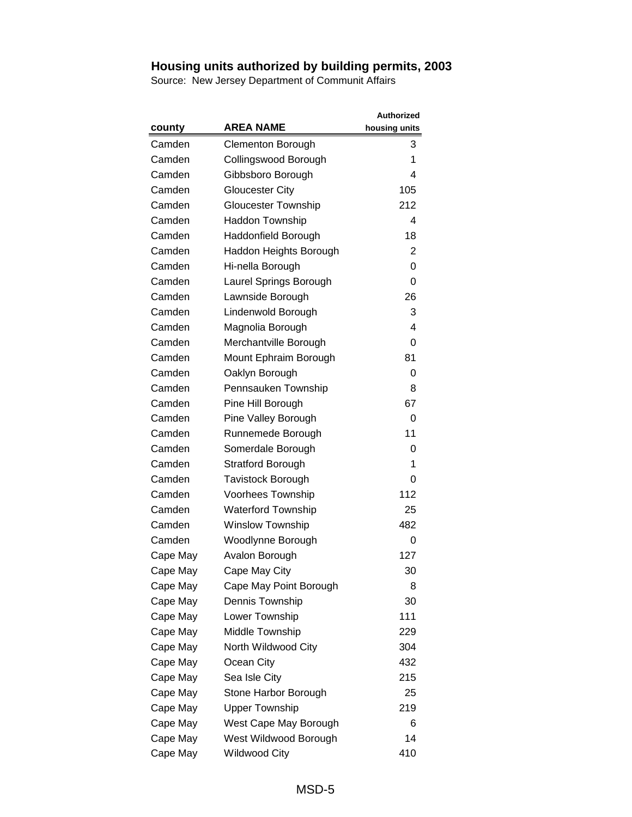| <b>AREA NAME</b>                     | <b>Authorized</b> |
|--------------------------------------|-------------------|
| housing units<br>county              |                   |
| Camden<br><b>Clementon Borough</b>   | 3                 |
| Camden<br>Collingswood Borough       | 1                 |
| Camden<br>Gibbsboro Borough          | 4                 |
| Camden<br><b>Gloucester City</b>     | 105               |
| Camden<br><b>Gloucester Township</b> | 212               |
| Camden<br><b>Haddon Township</b>     | 4                 |
| Camden<br>Haddonfield Borough        | 18                |
| Camden<br>Haddon Heights Borough     | 2                 |
| Camden<br>Hi-nella Borough           | 0                 |
| Camden<br>Laurel Springs Borough     | 0                 |
| Camden<br>Lawnside Borough           | 26                |
| Camden<br>Lindenwold Borough         | 3                 |
| Camden<br>Magnolia Borough           | 4                 |
| Camden<br>Merchantville Borough      | 0                 |
| Camden<br>Mount Ephraim Borough      | 81                |
| Camden<br>Oaklyn Borough             | 0                 |
| Camden<br>Pennsauken Township        | 8                 |
| Camden<br>Pine Hill Borough          | 67                |
| Camden<br>Pine Valley Borough        | 0                 |
| Camden<br>Runnemede Borough          | 11                |
| Camden<br>Somerdale Borough          | 0                 |
| Camden<br><b>Stratford Borough</b>   | 1                 |
| Camden<br><b>Tavistock Borough</b>   | 0                 |
| Camden<br>Voorhees Township          | 112               |
| Camden<br><b>Waterford Township</b>  | 25                |
| Camden<br><b>Winslow Township</b>    | 482               |
| Camden<br>Woodlynne Borough          | 0                 |
| Avalon Borough<br>Cape May           | 127               |
| Cape May City<br>Cape May            | 30                |
| Cape May Point Borough<br>Cape May   | 8                 |
| Cape May<br>Dennis Township          | 30                |
| Lower Township<br>Cape May           | 111               |
| Cape May<br>Middle Township          | 229               |
| North Wildwood City<br>Cape May      | 304               |
| Cape May<br>Ocean City               | 432               |
| Sea Isle City<br>Cape May            | 215               |
| Cape May<br>Stone Harbor Borough     | 25                |
| <b>Upper Township</b><br>Cape May    | 219               |
| Cape May<br>West Cape May Borough    | 6                 |
| West Wildwood Borough<br>Cape May    | 14                |
| Cape May<br><b>Wildwood City</b>     | 410               |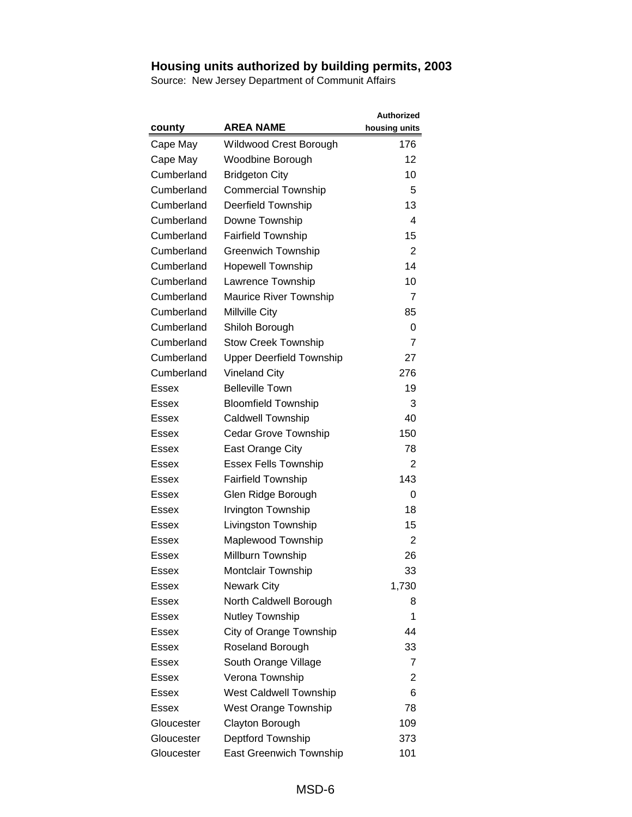| housing units<br>county<br>176<br>Cape May<br>Wildwood Crest Borough<br>12<br>Cape May<br>Woodbine Borough<br>Cumberland<br>10<br><b>Bridgeton City</b><br>Cumberland<br><b>Commercial Township</b><br>5<br>13<br>Cumberland<br>Deerfield Township<br>Cumberland<br>Downe Township<br>4<br>Cumberland<br><b>Fairfield Township</b><br>15<br>Cumberland<br>$\overline{2}$<br><b>Greenwich Township</b><br>14<br>Cumberland<br><b>Hopewell Township</b><br>Cumberland<br>10<br>Lawrence Township<br>$\overline{7}$<br>Cumberland<br><b>Maurice River Township</b><br>Cumberland<br>Millville City<br>85<br>Cumberland<br>Shiloh Borough<br>0<br>Cumberland<br>7<br><b>Stow Creek Township</b><br>Cumberland<br>27<br><b>Upper Deerfield Township</b><br>Cumberland<br>276<br><b>Vineland City</b><br><b>Belleville Town</b><br>19<br>Essex<br><b>Bloomfield Township</b><br>3<br>Essex<br><b>Caldwell Township</b><br>40<br>Essex<br><b>Cedar Grove Township</b><br>150<br>Essex<br><b>East Orange City</b><br>78<br>Essex<br>$\overline{2}$<br><b>Essex Fells Township</b><br>Essex<br>143<br><b>Fairfield Township</b><br>Essex<br>Essex<br>Glen Ridge Borough<br>0<br>Irvington Township<br>18<br>Essex<br>Livingston Township<br>15<br>Essex<br>Maplewood Township<br>$\overline{2}$<br><b>Essex</b><br>Millburn Township<br>26<br>Essex<br>33<br>Montclair Township<br><b>Essex</b><br><b>Newark City</b><br>1,730<br>Essex<br>North Caldwell Borough<br>8<br>Essex<br>Nutley Township<br>Essex<br>1<br>City of Orange Township<br>Essex<br>44<br>Roseland Borough<br>33<br>Essex<br>7<br>Essex<br>South Orange Village<br>Verona Township<br>2<br>Essex | <b>AREA NAME</b>       | <b>Authorized</b> |
|-------------------------------------------------------------------------------------------------------------------------------------------------------------------------------------------------------------------------------------------------------------------------------------------------------------------------------------------------------------------------------------------------------------------------------------------------------------------------------------------------------------------------------------------------------------------------------------------------------------------------------------------------------------------------------------------------------------------------------------------------------------------------------------------------------------------------------------------------------------------------------------------------------------------------------------------------------------------------------------------------------------------------------------------------------------------------------------------------------------------------------------------------------------------------------------------------------------------------------------------------------------------------------------------------------------------------------------------------------------------------------------------------------------------------------------------------------------------------------------------------------------------------------------------------------------------------------------------------------------------------------------------------------------|------------------------|-------------------|
|                                                                                                                                                                                                                                                                                                                                                                                                                                                                                                                                                                                                                                                                                                                                                                                                                                                                                                                                                                                                                                                                                                                                                                                                                                                                                                                                                                                                                                                                                                                                                                                                                                                             |                        |                   |
|                                                                                                                                                                                                                                                                                                                                                                                                                                                                                                                                                                                                                                                                                                                                                                                                                                                                                                                                                                                                                                                                                                                                                                                                                                                                                                                                                                                                                                                                                                                                                                                                                                                             |                        |                   |
|                                                                                                                                                                                                                                                                                                                                                                                                                                                                                                                                                                                                                                                                                                                                                                                                                                                                                                                                                                                                                                                                                                                                                                                                                                                                                                                                                                                                                                                                                                                                                                                                                                                             |                        |                   |
|                                                                                                                                                                                                                                                                                                                                                                                                                                                                                                                                                                                                                                                                                                                                                                                                                                                                                                                                                                                                                                                                                                                                                                                                                                                                                                                                                                                                                                                                                                                                                                                                                                                             |                        |                   |
|                                                                                                                                                                                                                                                                                                                                                                                                                                                                                                                                                                                                                                                                                                                                                                                                                                                                                                                                                                                                                                                                                                                                                                                                                                                                                                                                                                                                                                                                                                                                                                                                                                                             |                        |                   |
|                                                                                                                                                                                                                                                                                                                                                                                                                                                                                                                                                                                                                                                                                                                                                                                                                                                                                                                                                                                                                                                                                                                                                                                                                                                                                                                                                                                                                                                                                                                                                                                                                                                             |                        |                   |
|                                                                                                                                                                                                                                                                                                                                                                                                                                                                                                                                                                                                                                                                                                                                                                                                                                                                                                                                                                                                                                                                                                                                                                                                                                                                                                                                                                                                                                                                                                                                                                                                                                                             |                        |                   |
|                                                                                                                                                                                                                                                                                                                                                                                                                                                                                                                                                                                                                                                                                                                                                                                                                                                                                                                                                                                                                                                                                                                                                                                                                                                                                                                                                                                                                                                                                                                                                                                                                                                             |                        |                   |
|                                                                                                                                                                                                                                                                                                                                                                                                                                                                                                                                                                                                                                                                                                                                                                                                                                                                                                                                                                                                                                                                                                                                                                                                                                                                                                                                                                                                                                                                                                                                                                                                                                                             |                        |                   |
|                                                                                                                                                                                                                                                                                                                                                                                                                                                                                                                                                                                                                                                                                                                                                                                                                                                                                                                                                                                                                                                                                                                                                                                                                                                                                                                                                                                                                                                                                                                                                                                                                                                             |                        |                   |
|                                                                                                                                                                                                                                                                                                                                                                                                                                                                                                                                                                                                                                                                                                                                                                                                                                                                                                                                                                                                                                                                                                                                                                                                                                                                                                                                                                                                                                                                                                                                                                                                                                                             |                        |                   |
|                                                                                                                                                                                                                                                                                                                                                                                                                                                                                                                                                                                                                                                                                                                                                                                                                                                                                                                                                                                                                                                                                                                                                                                                                                                                                                                                                                                                                                                                                                                                                                                                                                                             |                        |                   |
|                                                                                                                                                                                                                                                                                                                                                                                                                                                                                                                                                                                                                                                                                                                                                                                                                                                                                                                                                                                                                                                                                                                                                                                                                                                                                                                                                                                                                                                                                                                                                                                                                                                             |                        |                   |
|                                                                                                                                                                                                                                                                                                                                                                                                                                                                                                                                                                                                                                                                                                                                                                                                                                                                                                                                                                                                                                                                                                                                                                                                                                                                                                                                                                                                                                                                                                                                                                                                                                                             |                        |                   |
|                                                                                                                                                                                                                                                                                                                                                                                                                                                                                                                                                                                                                                                                                                                                                                                                                                                                                                                                                                                                                                                                                                                                                                                                                                                                                                                                                                                                                                                                                                                                                                                                                                                             |                        |                   |
|                                                                                                                                                                                                                                                                                                                                                                                                                                                                                                                                                                                                                                                                                                                                                                                                                                                                                                                                                                                                                                                                                                                                                                                                                                                                                                                                                                                                                                                                                                                                                                                                                                                             |                        |                   |
|                                                                                                                                                                                                                                                                                                                                                                                                                                                                                                                                                                                                                                                                                                                                                                                                                                                                                                                                                                                                                                                                                                                                                                                                                                                                                                                                                                                                                                                                                                                                                                                                                                                             |                        |                   |
|                                                                                                                                                                                                                                                                                                                                                                                                                                                                                                                                                                                                                                                                                                                                                                                                                                                                                                                                                                                                                                                                                                                                                                                                                                                                                                                                                                                                                                                                                                                                                                                                                                                             |                        |                   |
|                                                                                                                                                                                                                                                                                                                                                                                                                                                                                                                                                                                                                                                                                                                                                                                                                                                                                                                                                                                                                                                                                                                                                                                                                                                                                                                                                                                                                                                                                                                                                                                                                                                             |                        |                   |
|                                                                                                                                                                                                                                                                                                                                                                                                                                                                                                                                                                                                                                                                                                                                                                                                                                                                                                                                                                                                                                                                                                                                                                                                                                                                                                                                                                                                                                                                                                                                                                                                                                                             |                        |                   |
|                                                                                                                                                                                                                                                                                                                                                                                                                                                                                                                                                                                                                                                                                                                                                                                                                                                                                                                                                                                                                                                                                                                                                                                                                                                                                                                                                                                                                                                                                                                                                                                                                                                             |                        |                   |
|                                                                                                                                                                                                                                                                                                                                                                                                                                                                                                                                                                                                                                                                                                                                                                                                                                                                                                                                                                                                                                                                                                                                                                                                                                                                                                                                                                                                                                                                                                                                                                                                                                                             |                        |                   |
|                                                                                                                                                                                                                                                                                                                                                                                                                                                                                                                                                                                                                                                                                                                                                                                                                                                                                                                                                                                                                                                                                                                                                                                                                                                                                                                                                                                                                                                                                                                                                                                                                                                             |                        |                   |
|                                                                                                                                                                                                                                                                                                                                                                                                                                                                                                                                                                                                                                                                                                                                                                                                                                                                                                                                                                                                                                                                                                                                                                                                                                                                                                                                                                                                                                                                                                                                                                                                                                                             |                        |                   |
|                                                                                                                                                                                                                                                                                                                                                                                                                                                                                                                                                                                                                                                                                                                                                                                                                                                                                                                                                                                                                                                                                                                                                                                                                                                                                                                                                                                                                                                                                                                                                                                                                                                             |                        |                   |
|                                                                                                                                                                                                                                                                                                                                                                                                                                                                                                                                                                                                                                                                                                                                                                                                                                                                                                                                                                                                                                                                                                                                                                                                                                                                                                                                                                                                                                                                                                                                                                                                                                                             |                        |                   |
|                                                                                                                                                                                                                                                                                                                                                                                                                                                                                                                                                                                                                                                                                                                                                                                                                                                                                                                                                                                                                                                                                                                                                                                                                                                                                                                                                                                                                                                                                                                                                                                                                                                             |                        |                   |
|                                                                                                                                                                                                                                                                                                                                                                                                                                                                                                                                                                                                                                                                                                                                                                                                                                                                                                                                                                                                                                                                                                                                                                                                                                                                                                                                                                                                                                                                                                                                                                                                                                                             |                        |                   |
|                                                                                                                                                                                                                                                                                                                                                                                                                                                                                                                                                                                                                                                                                                                                                                                                                                                                                                                                                                                                                                                                                                                                                                                                                                                                                                                                                                                                                                                                                                                                                                                                                                                             |                        |                   |
|                                                                                                                                                                                                                                                                                                                                                                                                                                                                                                                                                                                                                                                                                                                                                                                                                                                                                                                                                                                                                                                                                                                                                                                                                                                                                                                                                                                                                                                                                                                                                                                                                                                             |                        |                   |
|                                                                                                                                                                                                                                                                                                                                                                                                                                                                                                                                                                                                                                                                                                                                                                                                                                                                                                                                                                                                                                                                                                                                                                                                                                                                                                                                                                                                                                                                                                                                                                                                                                                             |                        |                   |
|                                                                                                                                                                                                                                                                                                                                                                                                                                                                                                                                                                                                                                                                                                                                                                                                                                                                                                                                                                                                                                                                                                                                                                                                                                                                                                                                                                                                                                                                                                                                                                                                                                                             |                        |                   |
|                                                                                                                                                                                                                                                                                                                                                                                                                                                                                                                                                                                                                                                                                                                                                                                                                                                                                                                                                                                                                                                                                                                                                                                                                                                                                                                                                                                                                                                                                                                                                                                                                                                             |                        |                   |
|                                                                                                                                                                                                                                                                                                                                                                                                                                                                                                                                                                                                                                                                                                                                                                                                                                                                                                                                                                                                                                                                                                                                                                                                                                                                                                                                                                                                                                                                                                                                                                                                                                                             |                        |                   |
|                                                                                                                                                                                                                                                                                                                                                                                                                                                                                                                                                                                                                                                                                                                                                                                                                                                                                                                                                                                                                                                                                                                                                                                                                                                                                                                                                                                                                                                                                                                                                                                                                                                             |                        |                   |
|                                                                                                                                                                                                                                                                                                                                                                                                                                                                                                                                                                                                                                                                                                                                                                                                                                                                                                                                                                                                                                                                                                                                                                                                                                                                                                                                                                                                                                                                                                                                                                                                                                                             |                        |                   |
|                                                                                                                                                                                                                                                                                                                                                                                                                                                                                                                                                                                                                                                                                                                                                                                                                                                                                                                                                                                                                                                                                                                                                                                                                                                                                                                                                                                                                                                                                                                                                                                                                                                             |                        |                   |
| 6<br>Essex                                                                                                                                                                                                                                                                                                                                                                                                                                                                                                                                                                                                                                                                                                                                                                                                                                                                                                                                                                                                                                                                                                                                                                                                                                                                                                                                                                                                                                                                                                                                                                                                                                                  | West Caldwell Township |                   |
| West Orange Township<br>78<br>Essex                                                                                                                                                                                                                                                                                                                                                                                                                                                                                                                                                                                                                                                                                                                                                                                                                                                                                                                                                                                                                                                                                                                                                                                                                                                                                                                                                                                                                                                                                                                                                                                                                         |                        |                   |
| 109<br>Gloucester<br>Clayton Borough                                                                                                                                                                                                                                                                                                                                                                                                                                                                                                                                                                                                                                                                                                                                                                                                                                                                                                                                                                                                                                                                                                                                                                                                                                                                                                                                                                                                                                                                                                                                                                                                                        |                        |                   |
| Deptford Township<br>Gloucester<br>373                                                                                                                                                                                                                                                                                                                                                                                                                                                                                                                                                                                                                                                                                                                                                                                                                                                                                                                                                                                                                                                                                                                                                                                                                                                                                                                                                                                                                                                                                                                                                                                                                      |                        |                   |
| Gloucester<br>East Greenwich Township<br>101                                                                                                                                                                                                                                                                                                                                                                                                                                                                                                                                                                                                                                                                                                                                                                                                                                                                                                                                                                                                                                                                                                                                                                                                                                                                                                                                                                                                                                                                                                                                                                                                                |                        |                   |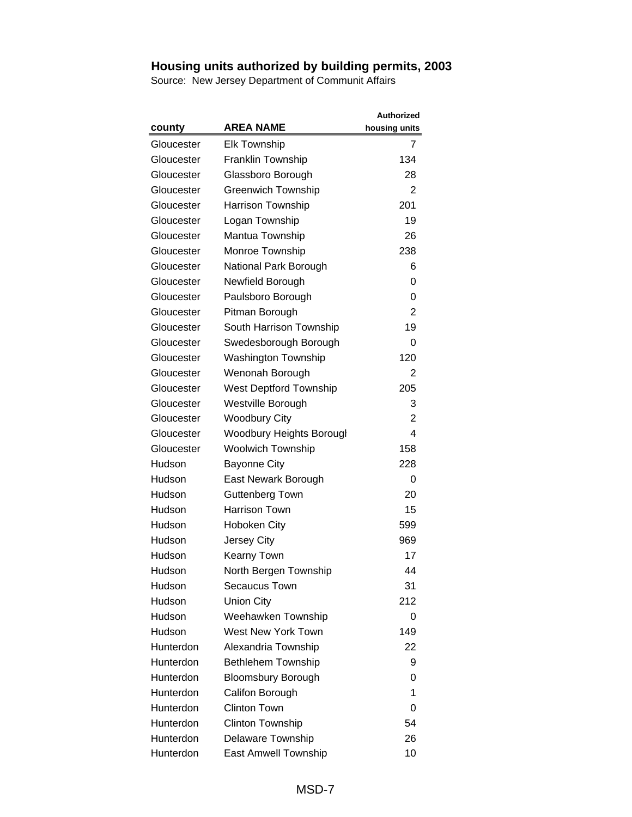|            |                                 | <b>Authorized</b> |
|------------|---------------------------------|-------------------|
| county     | AREA NAME                       | housing units     |
| Gloucester | Elk Township                    | 7                 |
| Gloucester | Franklin Township               | 134               |
| Gloucester | Glassboro Borough               | 28                |
| Gloucester | <b>Greenwich Township</b>       | 2                 |
| Gloucester | Harrison Township               | 201               |
| Gloucester | Logan Township                  | 19                |
| Gloucester | Mantua Township                 | 26                |
| Gloucester | Monroe Township                 | 238               |
| Gloucester | National Park Borough           | 6                 |
| Gloucester | Newfield Borough                | 0                 |
| Gloucester | Paulsboro Borough               | 0                 |
| Gloucester | Pitman Borough                  | 2                 |
| Gloucester | South Harrison Township         | 19                |
| Gloucester | Swedesborough Borough           | 0                 |
| Gloucester | <b>Washington Township</b>      | 120               |
| Gloucester | Wenonah Borough                 | 2                 |
| Gloucester | West Deptford Township          | 205               |
| Gloucester | Westville Borough               | 3                 |
| Gloucester | <b>Woodbury City</b>            | 2                 |
| Gloucester | <b>Woodbury Heights Borougl</b> | 4                 |
| Gloucester | <b>Woolwich Township</b>        | 158               |
| Hudson     | <b>Bayonne City</b>             | 228               |
| Hudson     | East Newark Borough             | 0                 |
| Hudson     | Guttenberg Town                 | 20                |
| Hudson     | <b>Harrison Town</b>            | 15                |
| Hudson     | <b>Hoboken City</b>             | 599               |
| Hudson     | <b>Jersey City</b>              | 969               |
| Hudson     | <b>Kearny Town</b>              | 17                |
| Hudson     | North Bergen Township           | 44                |
| Hudson     | <b>Secaucus Town</b>            | 31                |
| Hudson     | <b>Union City</b>               | 212               |
| Hudson     | Weehawken Township              | 0                 |
| Hudson     | West New York Town              | 149               |
| Hunterdon  | Alexandria Township             | 22                |
| Hunterdon  | Bethlehem Township              | 9                 |
| Hunterdon  | <b>Bloomsbury Borough</b>       | 0                 |
| Hunterdon  | Califon Borough                 | 1                 |
| Hunterdon  | <b>Clinton Town</b>             | 0                 |
| Hunterdon  | <b>Clinton Township</b>         | 54                |
| Hunterdon  | Delaware Township               | 26                |
| Hunterdon  | East Amwell Township            | 10                |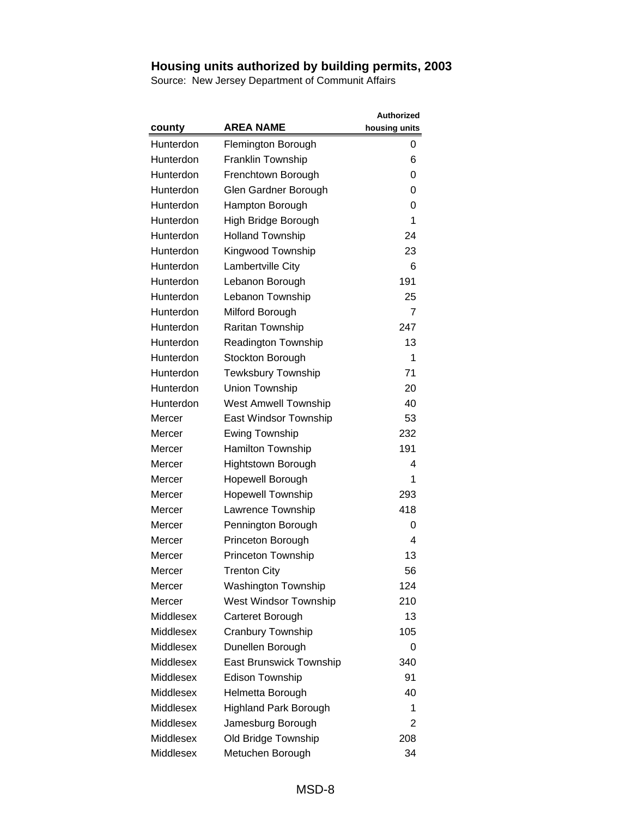| county           | <b>AREA NAME</b>             | <b>Authorized</b><br>housing units |
|------------------|------------------------------|------------------------------------|
| Hunterdon        | Flemington Borough           | 0                                  |
| Hunterdon        | Franklin Township            | 6                                  |
| Hunterdon        | Frenchtown Borough           | 0                                  |
| Hunterdon        | Glen Gardner Borough         | 0                                  |
| Hunterdon        | Hampton Borough              | $\Omega$                           |
| Hunterdon        | High Bridge Borough          | 1                                  |
| Hunterdon        | <b>Holland Township</b>      | 24                                 |
| Hunterdon        | Kingwood Township            | 23                                 |
| Hunterdon        | Lambertville City            | 6                                  |
| Hunterdon        | Lebanon Borough              | 191                                |
| Hunterdon        | Lebanon Township             | 25                                 |
| Hunterdon        | Milford Borough              | 7                                  |
| Hunterdon        | <b>Raritan Township</b>      | 247                                |
| Hunterdon        | <b>Readington Township</b>   | 13                                 |
| Hunterdon        | Stockton Borough             | 1                                  |
| Hunterdon        | <b>Tewksbury Township</b>    | 71                                 |
| Hunterdon        | Union Township               | 20                                 |
| Hunterdon        | <b>West Amwell Township</b>  | 40                                 |
| Mercer           | East Windsor Township        | 53                                 |
| Mercer           | <b>Ewing Township</b>        | 232                                |
| Mercer           | Hamilton Township            | 191                                |
| Mercer           | Hightstown Borough           | 4                                  |
| Mercer           | Hopewell Borough             | 1                                  |
| Mercer           | <b>Hopewell Township</b>     | 293                                |
| Mercer           | Lawrence Township            | 418                                |
| Mercer           | Pennington Borough           | 0                                  |
| Mercer           | Princeton Borough            | 4                                  |
| Mercer           | Princeton Township           | 13                                 |
| Mercer           | <b>Trenton City</b>          | 56                                 |
| Mercer           | <b>Washington Township</b>   | 124                                |
| Mercer           | West Windsor Township        | 210                                |
| <b>Middlesex</b> | Carteret Borough             | 13                                 |
| Middlesex        | Cranbury Township            | 105                                |
| Middlesex        | Dunellen Borough             | 0                                  |
| Middlesex        | East Brunswick Township      | 340                                |
| Middlesex        | <b>Edison Township</b>       | 91                                 |
| Middlesex        | Helmetta Borough             | 40                                 |
| Middlesex        | <b>Highland Park Borough</b> | 1                                  |
| Middlesex        | Jamesburg Borough            | 2                                  |
| Middlesex        | Old Bridge Township          | 208                                |
| Middlesex        | Metuchen Borough             | 34                                 |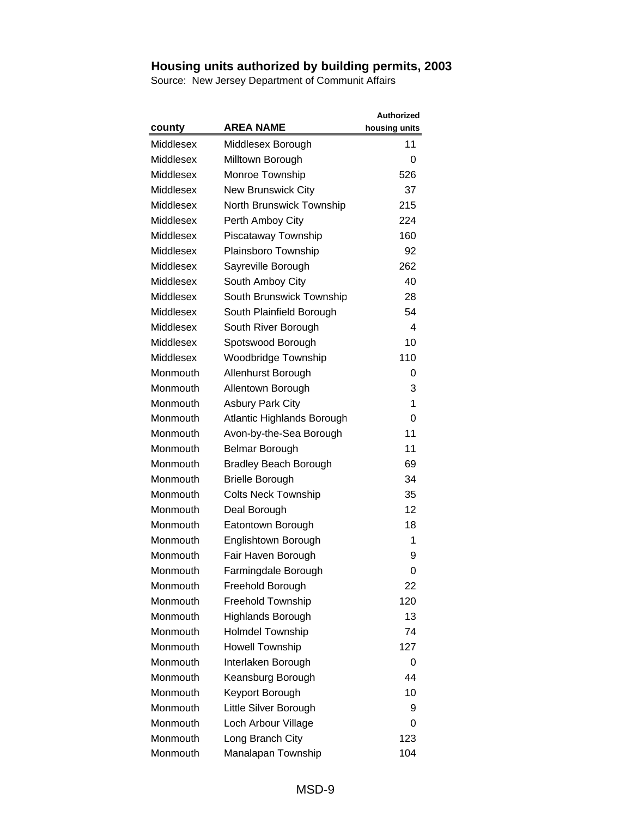|           |                              | <b>Authorized</b> |
|-----------|------------------------------|-------------------|
| county    | <b>AREA NAME</b>             | housing units     |
| Middlesex | Middlesex Borough            | 11                |
| Middlesex | Milltown Borough             | 0                 |
| Middlesex | Monroe Township              | 526               |
| Middlesex | <b>New Brunswick City</b>    | 37                |
| Middlesex | North Brunswick Township     | 215               |
| Middlesex | Perth Amboy City             | 224               |
| Middlesex | Piscataway Township          | 160               |
| Middlesex | Plainsboro Township          | 92                |
| Middlesex | Sayreville Borough           | 262               |
| Middlesex | South Amboy City             | 40                |
| Middlesex | South Brunswick Township     | 28                |
| Middlesex | South Plainfield Borough     | 54                |
| Middlesex | South River Borough          | 4                 |
| Middlesex | Spotswood Borough            | 10                |
| Middlesex | <b>Woodbridge Township</b>   | 110               |
| Monmouth  | Allenhurst Borough           | 0                 |
| Monmouth  | Allentown Borough            | 3                 |
| Monmouth  | <b>Asbury Park City</b>      | 1                 |
| Monmouth  | Atlantic Highlands Borough   | 0                 |
| Monmouth  | Avon-by-the-Sea Borough      | 11                |
| Monmouth  | <b>Belmar Borough</b>        | 11                |
| Monmouth  | <b>Bradley Beach Borough</b> | 69                |
| Monmouth  | <b>Brielle Borough</b>       | 34                |
| Monmouth  | <b>Colts Neck Township</b>   | 35                |
| Monmouth  | Deal Borough                 | 12                |
| Monmouth  | Eatontown Borough            | 18                |
| Monmouth  | Englishtown Borough          | 1                 |
| Monmouth  | Fair Haven Borough           | 9                 |
| Monmouth  | Farmingdale Borough          | $\Omega$          |
| Monmouth  | Freehold Borough             | 22                |
| Monmouth  | <b>Freehold Township</b>     | 120               |
| Monmouth  | <b>Highlands Borough</b>     | 13                |
| Monmouth  | <b>Holmdel Township</b>      | 74                |
| Monmouth  | <b>Howell Township</b>       | 127               |
| Monmouth  | Interlaken Borough           | 0                 |
| Monmouth  | Keansburg Borough            | 44                |
| Monmouth  | Keyport Borough              | 10                |
| Monmouth  | Little Silver Borough        | 9                 |
| Monmouth  | Loch Arbour Village          | 0                 |
| Monmouth  | Long Branch City             | 123               |
| Monmouth  | Manalapan Township           | 104               |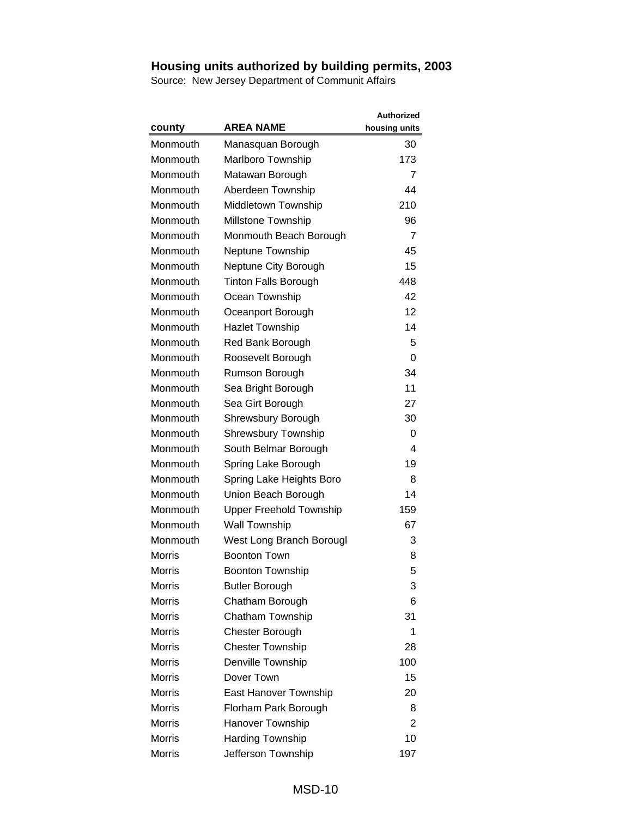|               |                                | <b>Authorized</b> |
|---------------|--------------------------------|-------------------|
| county        | AREA NAME                      | housing units     |
| Monmouth      | Manasquan Borough              | 30                |
| Monmouth      | <b>Marlboro Township</b>       | 173               |
| Monmouth      | Matawan Borough                | 7                 |
| Monmouth      | Aberdeen Township              | 44                |
| Monmouth      | Middletown Township            | 210               |
| Monmouth      | <b>Millstone Township</b>      | 96                |
| Monmouth      | Monmouth Beach Borough         | 7                 |
| Monmouth      | Neptune Township               | 45                |
| Monmouth      | Neptune City Borough           | 15                |
| Monmouth      | <b>Tinton Falls Borough</b>    | 448               |
| Monmouth      | Ocean Township                 | 42                |
| Monmouth      | Oceanport Borough              | 12                |
| Monmouth      | <b>Hazlet Township</b>         | 14                |
| Monmouth      | Red Bank Borough               | 5                 |
| Monmouth      | Roosevelt Borough              | 0                 |
| Monmouth      | Rumson Borough                 | 34                |
| Monmouth      | Sea Bright Borough             | 11                |
| Monmouth      | Sea Girt Borough               | 27                |
| Monmouth      | Shrewsbury Borough             | 30                |
| Monmouth      | <b>Shrewsbury Township</b>     | 0                 |
| Monmouth      | South Belmar Borough           | 4                 |
| Monmouth      | Spring Lake Borough            | 19                |
| Monmouth      | Spring Lake Heights Boro       | 8                 |
| Monmouth      | Union Beach Borough            | 14                |
| Monmouth      | <b>Upper Freehold Township</b> | 159               |
| Monmouth      | <b>Wall Township</b>           | 67                |
| Monmouth      | West Long Branch Borougl       | 3                 |
| <b>Morris</b> | <b>Boonton Town</b>            | 8                 |
| <b>Morris</b> | <b>Boonton Township</b>        | 5                 |
| Morris        | <b>Butler Borough</b>          | 3                 |
| <b>Morris</b> | Chatham Borough                | 6                 |
| <b>Morris</b> | Chatham Township               | 31                |
| <b>Morris</b> | Chester Borough                | 1                 |
| <b>Morris</b> | <b>Chester Township</b>        | 28                |
| <b>Morris</b> | Denville Township              | 100               |
| <b>Morris</b> | Dover Town                     | 15                |
| <b>Morris</b> | East Hanover Township          | 20                |
| <b>Morris</b> | Florham Park Borough           | 8                 |
| <b>Morris</b> | Hanover Township               | 2                 |
| <b>Morris</b> | <b>Harding Township</b>        | 10                |
| <b>Morris</b> | Jefferson Township             | 197               |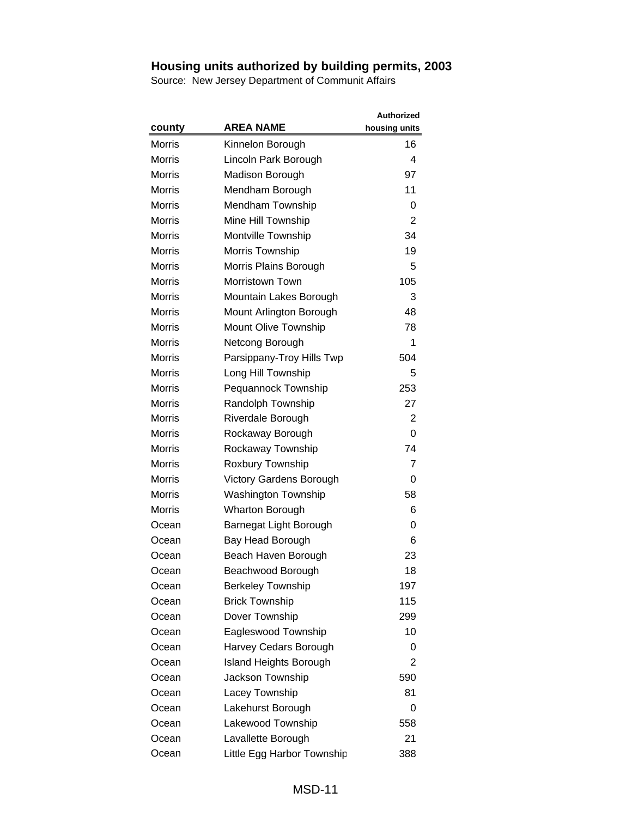|               |                               | <b>Authorized</b> |
|---------------|-------------------------------|-------------------|
| county        | <b>AREA NAME</b>              | housing units     |
| <b>Morris</b> | Kinnelon Borough              | 16                |
| <b>Morris</b> | Lincoln Park Borough          | 4                 |
| <b>Morris</b> | <b>Madison Borough</b>        | 97                |
| <b>Morris</b> | Mendham Borough               | 11                |
| Morris        | Mendham Township              | 0                 |
| <b>Morris</b> | Mine Hill Township            | 2                 |
| <b>Morris</b> | Montville Township            | 34                |
| <b>Morris</b> | Morris Township               | 19                |
| Morris        | Morris Plains Borough         | 5                 |
| <b>Morris</b> | <b>Morristown Town</b>        | 105               |
| <b>Morris</b> | Mountain Lakes Borough        | 3                 |
| <b>Morris</b> | Mount Arlington Borough       | 48                |
| <b>Morris</b> | Mount Olive Township          | 78                |
| Morris        | Netcong Borough               | 1                 |
| <b>Morris</b> | Parsippany-Troy Hills Twp     | 504               |
| <b>Morris</b> | Long Hill Township            | 5                 |
| <b>Morris</b> | Pequannock Township           | 253               |
| Morris        | Randolph Township             | 27                |
| <b>Morris</b> | Riverdale Borough             | 2                 |
| <b>Morris</b> | Rockaway Borough              | 0                 |
| <b>Morris</b> | Rockaway Township             | 74                |
| <b>Morris</b> | Roxbury Township              | 7                 |
| <b>Morris</b> | Victory Gardens Borough       | 0                 |
| <b>Morris</b> | <b>Washington Township</b>    | 58                |
| <b>Morris</b> | <b>Wharton Borough</b>        | 6                 |
| Ocean         | Barnegat Light Borough        | 0                 |
| Ocean         | <b>Bay Head Borough</b>       | 6                 |
| Ocean         | Beach Haven Borough           | 23                |
| Ocean         | Beachwood Borough             | 18                |
| Ocean         | <b>Berkeley Township</b>      | 197               |
| Ocean         | <b>Brick Township</b>         | 115               |
| Ocean         | Dover Township                | 299               |
| Ocean         | Eagleswood Township           | 10                |
| Ocean         | Harvey Cedars Borough         | 0                 |
| Ocean         | <b>Island Heights Borough</b> | 2                 |
| Ocean         | Jackson Township              | 590               |
| Ocean         | Lacey Township                | 81                |
| Ocean         | Lakehurst Borough             | 0                 |
| Ocean         | Lakewood Township             | 558               |
| Ocean         | Lavallette Borough            | 21                |
| Ocean         | Little Egg Harbor Township    | 388               |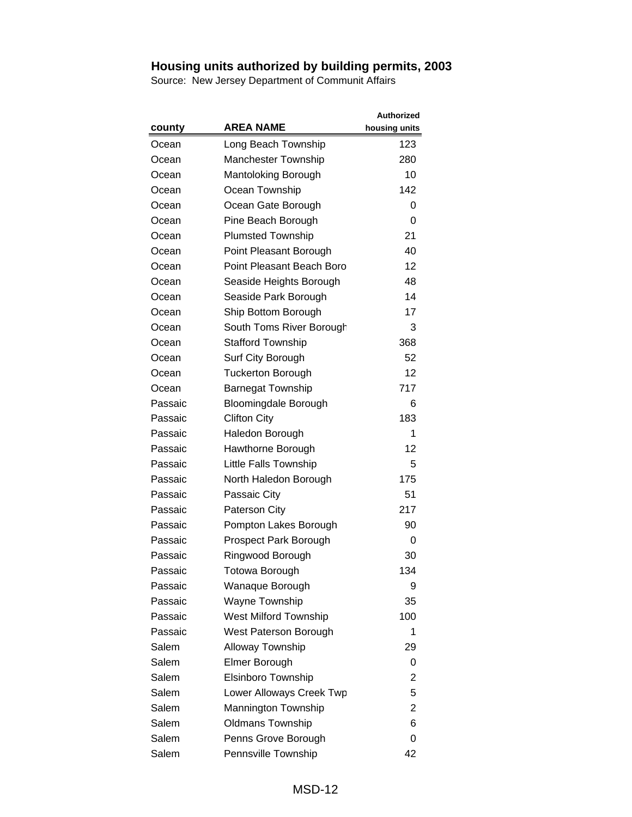| county  | <b>AREA NAME</b>             | <b>Authorized</b><br>housing units |
|---------|------------------------------|------------------------------------|
| Ocean   | Long Beach Township          | 123                                |
| Ocean   | <b>Manchester Township</b>   | 280                                |
| Ocean   | Mantoloking Borough          | 10                                 |
| Ocean   | Ocean Township               | 142                                |
| Ocean   | Ocean Gate Borough           | 0                                  |
| Ocean   | Pine Beach Borough           | 0                                  |
| Ocean   | <b>Plumsted Township</b>     | 21                                 |
| Ocean   | Point Pleasant Borough       | 40                                 |
| Ocean   | Point Pleasant Beach Boro    | 12                                 |
| Ocean   | Seaside Heights Borough      | 48                                 |
| Ocean   | Seaside Park Borough         | 14                                 |
| Ocean   | Ship Bottom Borough          | 17                                 |
| Ocean   | South Toms River Borough     | 3                                  |
| Ocean   | <b>Stafford Township</b>     | 368                                |
| Ocean   | Surf City Borough            | 52                                 |
| Ocean   | <b>Tuckerton Borough</b>     | 12                                 |
| Ocean   | <b>Barnegat Township</b>     | 717                                |
| Passaic | <b>Bloomingdale Borough</b>  | 6                                  |
| Passaic | <b>Clifton City</b>          | 183                                |
| Passaic | Haledon Borough              | 1                                  |
| Passaic | Hawthorne Borough            | 12                                 |
| Passaic | Little Falls Township        | 5                                  |
| Passaic | North Haledon Borough        | 175                                |
| Passaic | Passaic City                 | 51                                 |
| Passaic | <b>Paterson City</b>         | 217                                |
| Passaic | Pompton Lakes Borough        | 90                                 |
| Passaic | Prospect Park Borough        | 0                                  |
| Passaic | Ringwood Borough             | 30                                 |
| Passaic | Totowa Borough               | 134                                |
| Passaic | Wanaque Borough              | 9                                  |
| Passaic | <b>Wayne Township</b>        | 35                                 |
| Passaic | <b>West Milford Township</b> | 100                                |
| Passaic | West Paterson Borough        | 1                                  |
| Salem   | Alloway Township             | 29                                 |
| Salem   | Elmer Borough                | 0                                  |
| Salem   | Elsinboro Township           | 2                                  |
| Salem   | Lower Alloways Creek Twp     | 5                                  |
| Salem   | Mannington Township          | 2                                  |
| Salem   | <b>Oldmans Township</b>      | 6                                  |
| Salem   | Penns Grove Borough          | 0                                  |
| Salem   | Pennsville Township          | 42                                 |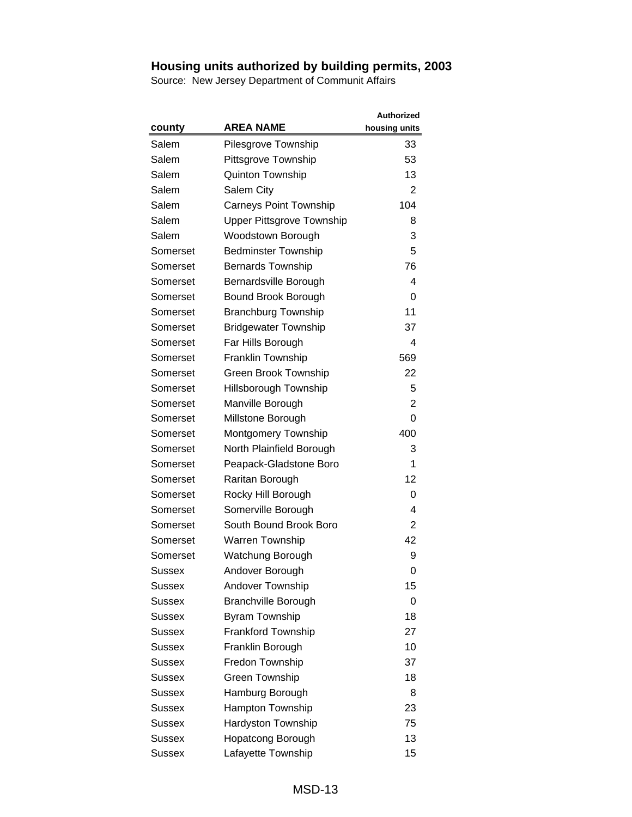|               |                                  | <b>Authorized</b> |
|---------------|----------------------------------|-------------------|
| county        | AREA NAME                        | housing units     |
| Salem         | Pilesgrove Township              | 33                |
| Salem         | Pittsgrove Township              | 53                |
| Salem         | Quinton Township                 | 13                |
| Salem         | Salem City                       | $\overline{2}$    |
| Salem         | <b>Carneys Point Township</b>    | 104               |
| Salem         | <b>Upper Pittsgrove Township</b> | 8                 |
| Salem         | Woodstown Borough                | 3                 |
| Somerset      | <b>Bedminster Township</b>       | 5                 |
| Somerset      | <b>Bernards Township</b>         | 76                |
| Somerset      | Bernardsville Borough            | 4                 |
| Somerset      | Bound Brook Borough              | 0                 |
| Somerset      | <b>Branchburg Township</b>       | 11                |
| Somerset      | <b>Bridgewater Township</b>      | 37                |
| Somerset      | Far Hills Borough                | 4                 |
| Somerset      | Franklin Township                | 569               |
| Somerset      | <b>Green Brook Township</b>      | 22                |
| Somerset      | Hillsborough Township            | 5                 |
| Somerset      | Manville Borough                 | 2                 |
| Somerset      | Millstone Borough                | 0                 |
| Somerset      | Montgomery Township              | 400               |
| Somerset      | North Plainfield Borough         | 3                 |
| Somerset      | Peapack-Gladstone Boro           | 1                 |
| Somerset      | Raritan Borough                  | 12                |
| Somerset      | Rocky Hill Borough               | 0                 |
| Somerset      | Somerville Borough               | 4                 |
| Somerset      | South Bound Brook Boro           | $\overline{2}$    |
| Somerset      | <b>Warren Township</b>           | 42                |
| Somerset      | Watchung Borough                 | 9                 |
| <b>Sussex</b> | Andover Borough                  | 0                 |
| Sussex        | Andover Township                 | 15                |
| <b>Sussex</b> | <b>Branchville Borough</b>       | 0                 |
| Sussex        | <b>Byram Township</b>            | 18                |
| Sussex        | <b>Frankford Township</b>        | 27                |
| Sussex        | Franklin Borough                 | 10                |
| Sussex        | Fredon Township                  | 37                |
| Sussex        | Green Township                   | 18                |
| Sussex        | Hamburg Borough                  | 8                 |
| Sussex        | <b>Hampton Township</b>          | 23                |
| Sussex        | Hardyston Township               | 75                |
| Sussex        | <b>Hopatcong Borough</b>         | 13                |
| Sussex        | Lafayette Township               | 15                |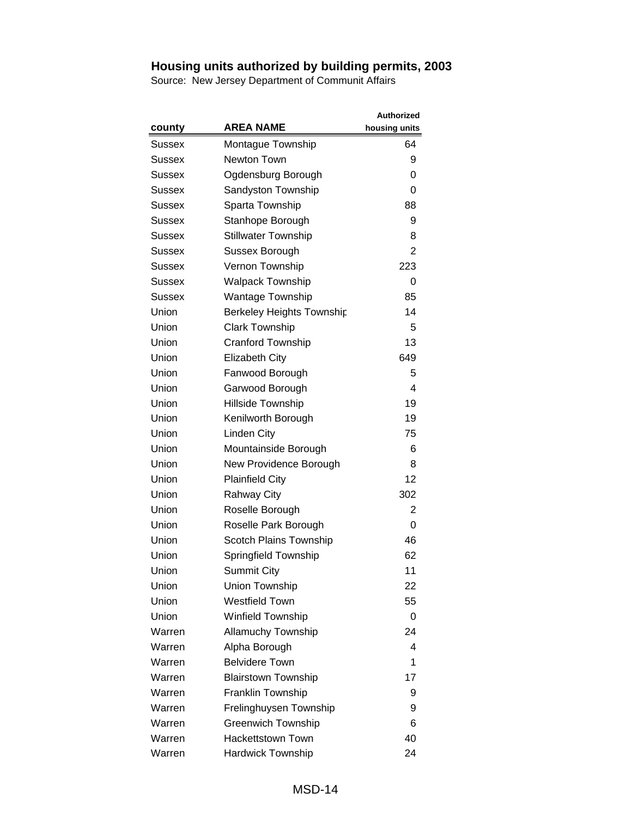|               |                                  | <b>Authorized</b> |
|---------------|----------------------------------|-------------------|
| county        | <b>AREA NAME</b>                 | housing units     |
| Sussex        | Montague Township                | 64                |
| Sussex        | <b>Newton Town</b>               | 9                 |
| <b>Sussex</b> | Ogdensburg Borough               | 0                 |
| Sussex        | Sandyston Township               | 0                 |
| Sussex        | Sparta Township                  | 88                |
| Sussex        | Stanhope Borough                 | 9                 |
| Sussex        | <b>Stillwater Township</b>       | 8                 |
| Sussex        | Sussex Borough                   | 2                 |
| Sussex        | Vernon Township                  | 223               |
| Sussex        | <b>Walpack Township</b>          | 0                 |
| Sussex        | <b>Wantage Township</b>          | 85                |
| Union         | <b>Berkeley Heights Township</b> | 14                |
| Union         | <b>Clark Township</b>            | 5                 |
| Union         | Cranford Township                | 13                |
| Union         | <b>Elizabeth City</b>            | 649               |
| Union         | Fanwood Borough                  | 5                 |
| Union         | Garwood Borough                  | 4                 |
| Union         | Hillside Township                | 19                |
| Union         | Kenilworth Borough               | 19                |
| Union         | <b>Linden City</b>               | 75                |
| Union         | Mountainside Borough             | 6                 |
| Union         | New Providence Borough           | 8                 |
| Union         | <b>Plainfield City</b>           | 12                |
| Union         | <b>Rahway City</b>               | 302               |
| Union         | Roselle Borough                  | 2                 |
| Union         | Roselle Park Borough             | 0                 |
| Union         | Scotch Plains Township           | 46                |
| Union         | Springfield Township             | 62                |
| Union         | <b>Summit City</b>               | 11                |
| Union         | Union Township                   | 22                |
| Union         | <b>Westfield Town</b>            | 55                |
| Union         | <b>Winfield Township</b>         | 0                 |
| Warren        | <b>Allamuchy Township</b>        | 24                |
| Warren        | Alpha Borough                    | 4                 |
| Warren        | <b>Belvidere Town</b>            | 1                 |
| Warren        | <b>Blairstown Township</b>       | 17                |
| Warren        | Franklin Township                | 9                 |
| Warren        | Frelinghuysen Township           | 9                 |
| Warren        | <b>Greenwich Township</b>        | 6                 |
| Warren        | <b>Hackettstown Town</b>         | 40                |
| Warren        | <b>Hardwick Township</b>         | 24                |